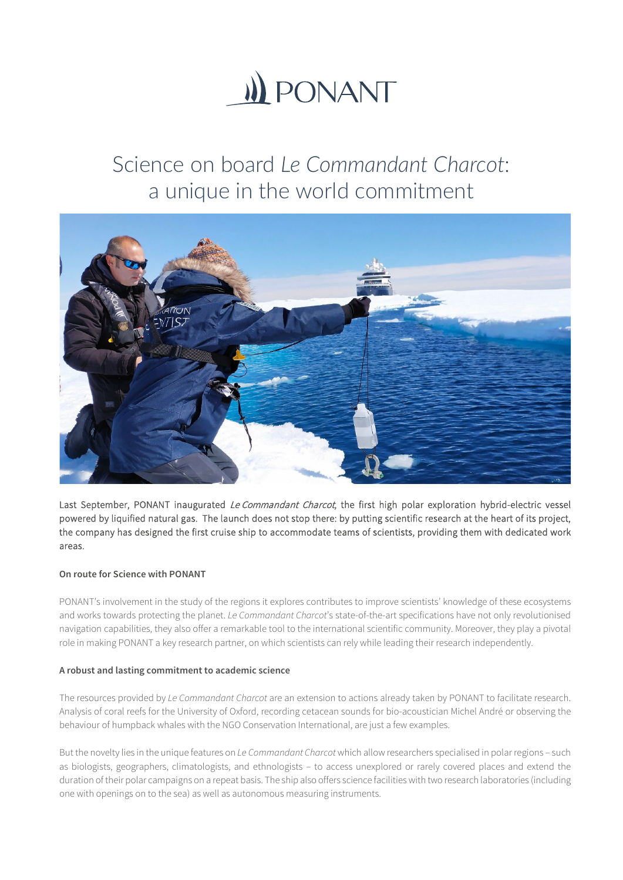

# Science on board *Le Commandant Charcot*: a unique in the world commitment



Last September, PONANT inaugurated Le Commandant Charcot, the first high polar exploration hybrid-electric vessel powered by liquified natural gas. The launch does not stop there: by putting scientific research at the heart of its project, the company has designed the first cruise ship to accommodate teams of scientists, providing them with dedicated work areas.

## **On route for Science with PONANT**

PONANT's involvement in the study of the regions it explores contributes to improve scientists' knowledge of these ecosystems and works towards protecting the planet. *Le Commandant Charcot*'s state-of-the-art specifications have not only revolutionised navigation capabilities, they also offer a remarkable tool to the international scientific community. Moreover, they play a pivotal role in making PONANT a key research partner, on which scientists can rely while leading their research independently.

# **A robust and lasting commitment to academic science**

The resources provided by *Le Commandant Charcot* are an extension to actions already taken by PONANT to facilitate research. Analysis of coral reefs for the University of Oxford, recording cetacean sounds for bio-acoustician Michel André or observing the behaviour of humpback whales with the NGO Conservation International, are just a few examples.

But the novelty lies in the unique features on *Le Commandant Charcot* which allow researchers specialised in polar regions – such as biologists, geographers, climatologists, and ethnologists – to access unexplored or rarely covered places and extend the duration of their polar campaigns on a repeat basis. The ship also offers science facilities with two research laboratories (including one with openings on to the sea) as well as autonomous measuring instruments.